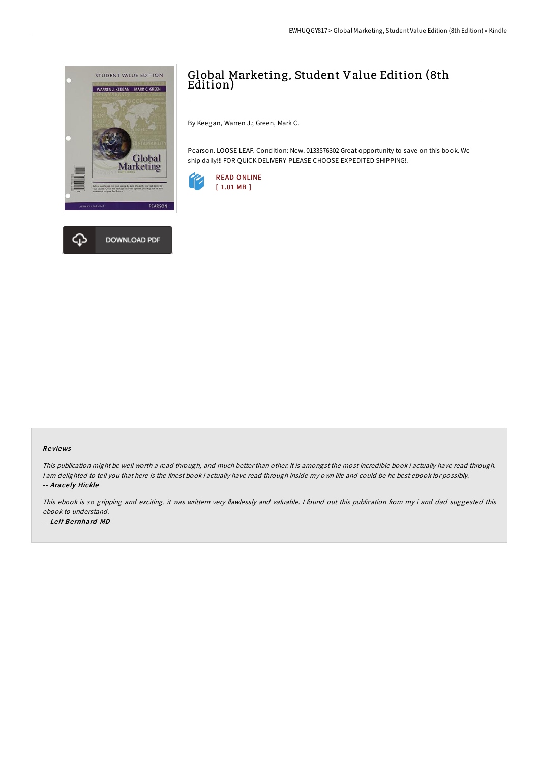

## Global Marketing, Student Value Edition (8th Edition)

By Keegan, Warren J.; Green, Mark C.

Pearson. LOOSE LEAF. Condition: New. 0133576302 Great opportunity to save on this book. We ship daily!!! FOR QUICK DELIVERY PLEASE CHOOSE EXPEDITED SHIPPING!.



## Re views

This publication might be well worth <sup>a</sup> read through, and much better than other. It is amongst the most incredible book i actually have read through. <sup>I</sup> am delighted to tell you that here is the finest book i actually have read through inside my own life and could be he best ebook for possibly. -- Arace ly Hickle

This ebook is so gripping and exciting. it was writtern very flawlessly and valuable. I found out this publication from my i and dad suggested this ebook to understand. -- Le if Be rnhard MD